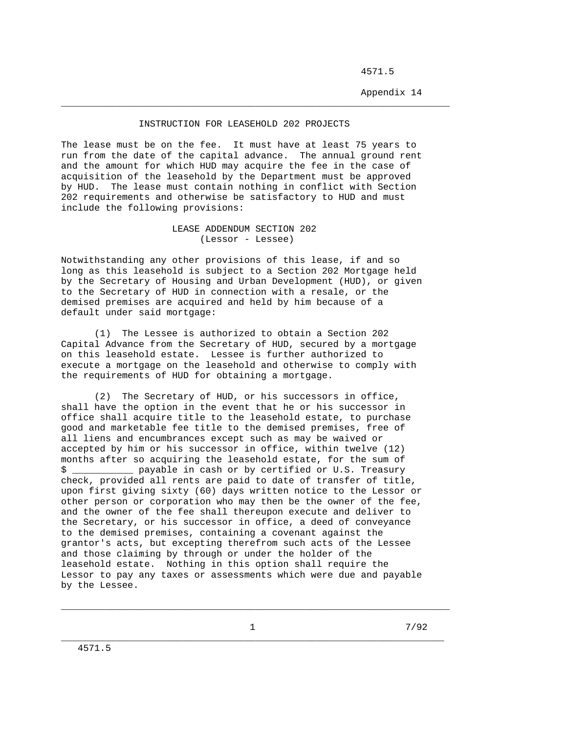4571.5

Appendix 14

## INSTRUCTION FOR LEASEHOLD 202 PROJECTS

\_\_\_\_\_\_\_\_\_\_\_\_\_\_\_\_\_\_\_\_\_\_\_\_\_\_\_\_\_\_\_\_\_\_\_\_\_\_\_\_\_\_\_\_\_\_\_\_\_\_\_\_\_\_\_\_\_\_\_\_\_\_\_\_\_\_\_\_\_\_

The lease must be on the fee. It must have at least 75 years to run from the date of the capital advance. The annual ground rent and the amount for which HUD may acquire the fee in the case of acquisition of the leasehold by the Department must be approved by HUD. The lease must contain nothing in conflict with Section 202 requirements and otherwise be satisfactory to HUD and must include the following provisions:

## LEASE ADDENDUM SECTION 202 (Lessor - Lessee)

Notwithstanding any other provisions of this lease, if and so long as this leasehold is subject to a Section 202 Mortgage held by the Secretary of Housing and Urban Development (HUD), or given to the Secretary of HUD in connection with a resale, or the demised premises are acquired and held by him because of a default under said mortgage:

 (1) The Lessee is authorized to obtain a Section 202 Capital Advance from the Secretary of HUD, secured by a mortgage on this leasehold estate. Lessee is further authorized to execute a mortgage on the leasehold and otherwise to comply with the requirements of HUD for obtaining a mortgage.

 (2) The Secretary of HUD, or his successors in office, shall have the option in the event that he or his successor in office shall acquire title to the leasehold estate, to purchase good and marketable fee title to the demised premises, free of all liens and encumbrances except such as may be waived or accepted by him or his successor in office, within twelve (12) months after so acquiring the leasehold estate, for the sum of \$ \_\_\_\_\_\_\_\_\_\_\_ payable in cash or by certified or U.S. Treasury check, provided all rents are paid to date of transfer of title, upon first giving sixty (60) days written notice to the Lessor or other person or corporation who may then be the owner of the fee, and the owner of the fee shall thereupon execute and deliver to the Secretary, or his successor in office, a deed of conveyance to the demised premises, containing a covenant against the grantor's acts, but excepting therefrom such acts of the Lessee and those claiming by through or under the holder of the leasehold estate. Nothing in this option shall require the Lessor to pay any taxes or assessments which were due and payable by the Lessee.

\_\_\_\_\_\_\_\_\_\_\_\_\_\_\_\_\_\_\_\_\_\_\_\_\_\_\_\_\_\_\_\_\_\_\_\_\_\_\_\_\_\_\_\_\_\_\_\_\_\_\_\_\_\_\_\_\_\_\_\_\_\_\_\_\_\_\_\_\_\_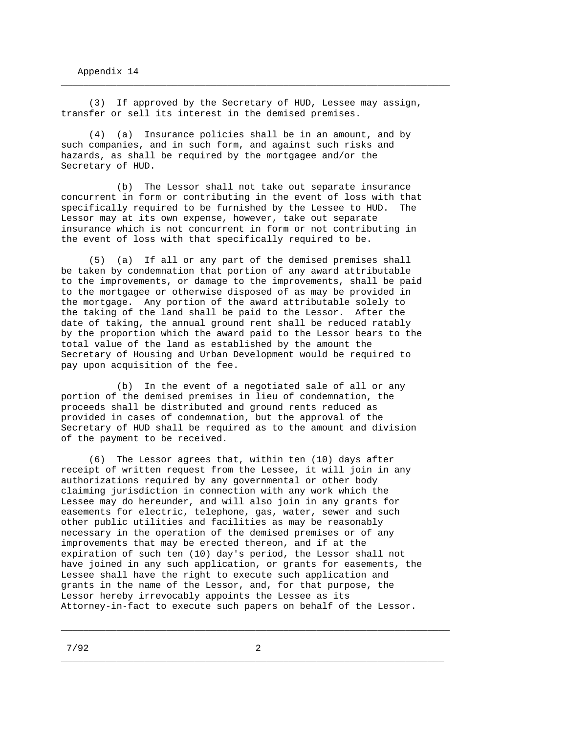(3) If approved by the Secretary of HUD, Lessee may assign, transfer or sell its interest in the demised premises.

\_\_\_\_\_\_\_\_\_\_\_\_\_\_\_\_\_\_\_\_\_\_\_\_\_\_\_\_\_\_\_\_\_\_\_\_\_\_\_\_\_\_\_\_\_\_\_\_\_\_\_\_\_\_\_\_\_\_\_\_\_\_\_\_\_\_\_\_\_\_

 (4) (a) Insurance policies shall be in an amount, and by such companies, and in such form, and against such risks and hazards, as shall be required by the mortgagee and/or the Secretary of HUD.

 (b) The Lessor shall not take out separate insurance concurrent in form or contributing in the event of loss with that specifically required to be furnished by the Lessee to HUD. The Lessor may at its own expense, however, take out separate insurance which is not concurrent in form or not contributing in the event of loss with that specifically required to be.

 (5) (a) If all or any part of the demised premises shall be taken by condemnation that portion of any award attributable to the improvements, or damage to the improvements, shall be paid to the mortgagee or otherwise disposed of as may be provided in the mortgage. Any portion of the award attributable solely to the taking of the land shall be paid to the Lessor. After the date of taking, the annual ground rent shall be reduced ratably by the proportion which the award paid to the Lessor bears to the total value of the land as established by the amount the Secretary of Housing and Urban Development would be required to pay upon acquisition of the fee.

 (b) In the event of a negotiated sale of all or any portion of the demised premises in lieu of condemnation, the proceeds shall be distributed and ground rents reduced as provided in cases of condemnation, but the approval of the Secretary of HUD shall be required as to the amount and division of the payment to be received.

 (6) The Lessor agrees that, within ten (10) days after receipt of written request from the Lessee, it will join in any authorizations required by any governmental or other body claiming jurisdiction in connection with any work which the Lessee may do hereunder, and will also join in any grants for easements for electric, telephone, gas, water, sewer and such other public utilities and facilities as may be reasonably necessary in the operation of the demised premises or of any improvements that may be erected thereon, and if at the expiration of such ten (10) day's period, the Lessor shall not have joined in any such application, or grants for easements, the Lessee shall have the right to execute such application and grants in the name of the Lessor, and, for that purpose, the Lessor hereby irrevocably appoints the Lessee as its Attorney-in-fact to execute such papers on behalf of the Lessor.

\_\_\_\_\_\_\_\_\_\_\_\_\_\_\_\_\_\_\_\_\_\_\_\_\_\_\_\_\_\_\_\_\_\_\_\_\_\_\_\_\_\_\_\_\_\_\_\_\_\_\_\_\_\_\_\_\_\_\_\_\_\_\_\_\_\_\_\_\_\_